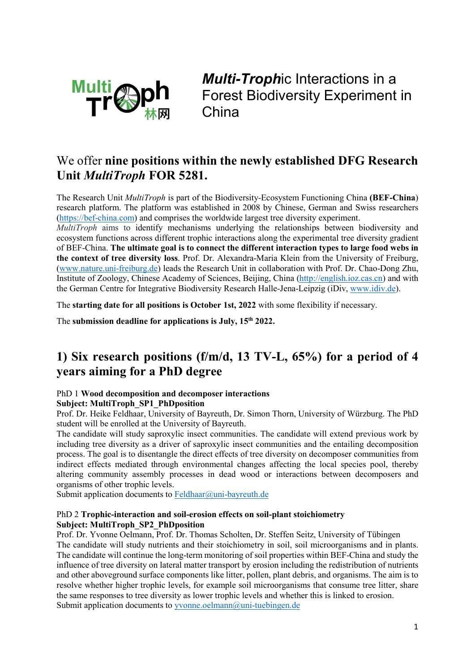

*Multi-Troph*ic Interactions in a Forest Biodiversity Experiment in China

### We offer **nine positions within the newly established DFG Research Unit** *MultiTroph* **FOR 5281.**

The Research Unit *MultiTroph* is part of the Biodiversity-Ecosystem Functioning China **(BEF-China**) research platform. The platform was established in 2008 by Chinese, German and Swiss researchers [\(https://bef-china.com\)](https://bef-china.com/) and comprises the worldwide largest tree diversity experiment.

*MultiTroph* aims to identify mechanisms underlying the relationships between biodiversity and ecosystem functions across different trophic interactions along the experimental tree diversity gradient of BEF-China. **The ultimate goal is to connect the different interaction types to large food webs in the context of tree diversity loss**. Prof. Dr. Alexandra-Maria Klein from the University of Freiburg, [\(www.nature.uni-freiburg.de\)](http://www.nature.uni-freiburg.de/) leads the Research Unit in collaboration with Prof. Dr. Chao-Dong Zhu, Institute of Zoology, Chinese Academy of Sciences, Beijing, China [\(http://english.ioz.cas.cn\)](http://english.ioz.cas.cn/) and with the German Centre for Integrative Biodiversity Research Halle-Jena-Leipzig (iDiv, [www.idiv.de\)](http://www.idiv.de/).

The **starting date for all positions is October 1st, 2022** with some flexibility if necessary.

The **submission deadline for applications is July, 15th 2022.**

## **1) Six research positions (f/m/d, 13 TV-L, 65%) for a period of 4 years aiming for a PhD degree**

#### PhD 1 **Wood decomposition and decomposer interactions Subject: MultiTroph\_SP1\_PhDposition**

Prof. Dr. Heike Feldhaar, University of Bayreuth, Dr. Simon Thorn, University of Würzburg. The PhD student will be enrolled at the University of Bayreuth.

The candidate will study saproxylic insect communities. The candidate will extend previous work by including tree diversity as a driver of saproxylic insect communities and the entailing decomposition process. The goal is to disentangle the direct effects of tree diversity on decomposer communities from indirect effects mediated through environmental changes affecting the local species pool, thereby altering community assembly processes in dead wood or interactions between decomposers and organisms of other trophic levels.

Submit application documents to [Feldhaar@uni-bayreuth.de](mailto:Feldhaar@uni-bayreuth.de)

### PhD 2 **Trophic-interaction and soil-erosion effects on soil-plant stoichiometry Subject: MultiTroph\_SP2\_PhDposition**

Prof. Dr. Yvonne Oelmann, Prof. Dr. Thomas Scholten, Dr. Steffen Seitz, University of Tübingen The candidate will study nutrients and their stoichiometry in soil, soil microorganisms and in plants. The candidate will continue the long-term monitoring of soil properties within BEF-China and study the influence of tree diversity on lateral matter transport by erosion including the redistribution of nutrients and other aboveground surface components like litter, pollen, plant debris, and organisms. The aim is to resolve whether higher trophic levels, for example soil microorganisms that consume tree litter, share the same responses to tree diversity as lower trophic levels and whether this is linked to erosion. Submit application documents to [yvonne.oelmann@uni-tuebingen.de](mailto:yvonne.oelmann@uni-tuebingen.de)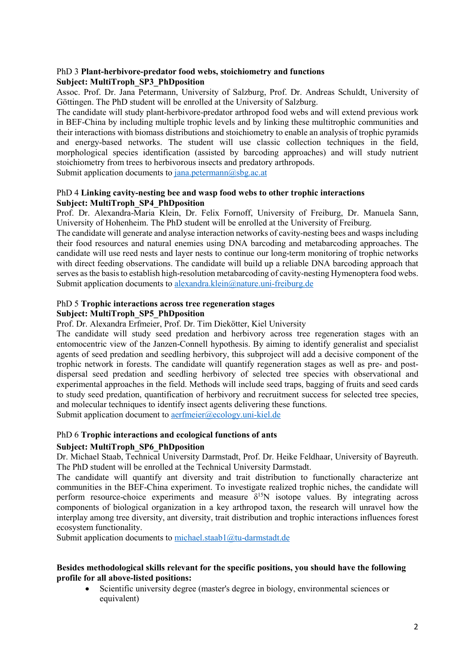### PhD 3 **Plant-herbivore-predator food webs, stoichiometry and functions Subject: MultiTroph\_SP3\_PhDposition**

Assoc. Prof. Dr. Jana Petermann, University of Salzburg, Prof. Dr. Andreas Schuldt, University of Göttingen. The PhD student will be enrolled at the University of Salzburg.

The candidate will study plant-herbivore-predator arthropod food webs and will extend previous work in BEF-China by including multiple trophic levels and by linking these multitrophic communities and their interactions with biomass distributions and stoichiometry to enable an analysis of trophic pyramids and energy-based networks. The student will use classic collection techniques in the field, morphological species identification (assisted by barcoding approaches) and will study nutrient stoichiometry from trees to herbivorous insects and predatory arthropods.

Submit application documents to  $jana.$  petermann $@sbg.ac.at$ 

### PhD 4 **Linking cavity-nesting bee and wasp food webs to other trophic interactions Subject: MultiTroph\_SP4\_PhDposition**

Prof. Dr. Alexandra-Maria Klein, Dr. Felix Fornoff, University of Freiburg, Dr. Manuela Sann, University of Hohenheim. The PhD student will be enrolled at the University of Freiburg.

The candidate will generate and analyse interaction networks of cavity-nesting bees and wasps including their food resources and natural enemies using DNA barcoding and metabarcoding approaches. The candidate will use reed nests and layer nests to continue our long-term monitoring of trophic networks with direct feeding observations. The candidate will build up a reliable DNA barcoding approach that serves as the basis to establish high-resolution metabarcoding of cavity-nesting Hymenoptera food webs. Submit application documents to [alexandra.klein@nature.uni-freiburg.de](mailto:alexandra.klein@nature.uni-freiburg.de)

### PhD 5 **Trophic interactions across tree regeneration stages Subject: MultiTroph\_SP5\_PhDposition**

Prof. Dr. Alexandra Erfmeier, Prof. Dr. Tim Diekötter, Kiel University

The candidate will study seed predation and herbivory across tree regeneration stages with an entomocentric view of the Janzen-Connell hypothesis. By aiming to identify generalist and specialist agents of seed predation and seedling herbivory, this subproject will add a decisive component of the trophic network in forests. The candidate will quantify regeneration stages as well as pre- and postdispersal seed predation and seedling herbivory of selected tree species with observational and experimental approaches in the field. Methods will include seed traps, bagging of fruits and seed cards to study seed predation, quantification of herbivory and recruitment success for selected tree species, and molecular techniques to identify insect agents delivering these functions. Submit application document to [aerfmeier@ecology.uni-kiel.de](mailto:aerfmeier@ecology.uni-kiel.de)

PhD 6 **Trophic interactions and ecological functions of ants** 

### **Subject: MultiTroph\_SP6\_PhDposition**

Dr. Michael Staab, Technical University Darmstadt, Prof. Dr. Heike Feldhaar, University of Bayreuth. The PhD student will be enrolled at the Technical University Darmstadt.

The candidate will quantify ant diversity and trait distribution to functionally characterize ant communities in the BEF-China experiment. To investigate realized trophic niches, the candidate will perform resource-choice experiments and measure  $\delta^{15}N$  isotope values. By integrating across components of biological organization in a key arthropod taxon, the research will unravel how the interplay among tree diversity, ant diversity, trait distribution and trophic interactions influences forest ecosystem functionality.

Submit application documents to [michael.staab1@tu-darmstadt.de](mailto:michael.staab1@tu-darmstadt.de)

### **Besides methodological skills relevant for the specific positions, you should have the following profile for all above-listed positions:**

• Scientific university degree (master's degree in biology, environmental sciences or equivalent)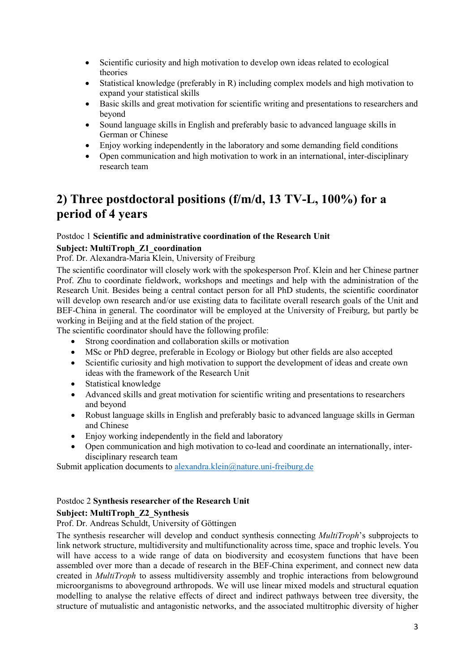- Scientific curiosity and high motivation to develop own ideas related to ecological theories
- Statistical knowledge (preferably in R) including complex models and high motivation to expand your statistical skills
- Basic skills and great motivation for scientific writing and presentations to researchers and beyond
- Sound language skills in English and preferably basic to advanced language skills in German or Chinese
- Enjoy working independently in the laboratory and some demanding field conditions
- Open communication and high motivation to work in an international, inter-disciplinary research team

## **2) Three postdoctoral positions (f/m/d, 13 TV-L, 100%) for a period of 4 years**

### Postdoc 1 **Scientific and administrative coordination of the Research Unit**

### **Subject: MultiTroph\_Z1\_coordination**

### Prof. Dr. Alexandra-Maria Klein, University of Freiburg

The scientific coordinator will closely work with the spokesperson Prof. Klein and her Chinese partner Prof. Zhu to coordinate fieldwork, workshops and meetings and help with the administration of the Research Unit. Besides being a central contact person for all PhD students, the scientific coordinator will develop own research and/or use existing data to facilitate overall research goals of the Unit and BEF-China in general. The coordinator will be employed at the University of Freiburg, but partly be working in Beijing and at the field station of the project.

The scientific coordinator should have the following profile:

- Strong coordination and collaboration skills or motivation
- MSc or PhD degree, preferable in Ecology or Biology but other fields are also accepted
- Scientific curiosity and high motivation to support the development of ideas and create own ideas with the framework of the Research Unit
- Statistical knowledge
- Advanced skills and great motivation for scientific writing and presentations to researchers and beyond
- Robust language skills in English and preferably basic to advanced language skills in German and Chinese
- Enjoy working independently in the field and laboratory
- Open communication and high motivation to co-lead and coordinate an internationally, interdisciplinary research team

Submit application documents to [alexandra.klein@nature.uni-freiburg.de](mailto:alexandra.klein@nature.uni-freiburg.de)

### Postdoc 2 **Synthesis researcher of the Research Unit**

### **Subject: MultiTroph\_Z2\_Synthesis**

Prof. Dr. Andreas Schuldt, University of Göttingen

The synthesis researcher will develop and conduct synthesis connecting *MultiTroph*'s subprojects to link network structure, multidiversity and multifunctionality across time, space and trophic levels. You will have access to a wide range of data on biodiversity and ecosystem functions that have been assembled over more than a decade of research in the BEF-China experiment, and connect new data created in *MultiTroph* to assess multidiversity assembly and trophic interactions from belowground microorganisms to aboveground arthropods. We will use linear mixed models and structural equation modelling to analyse the relative effects of direct and indirect pathways between tree diversity, the structure of mutualistic and antagonistic networks, and the associated multitrophic diversity of higher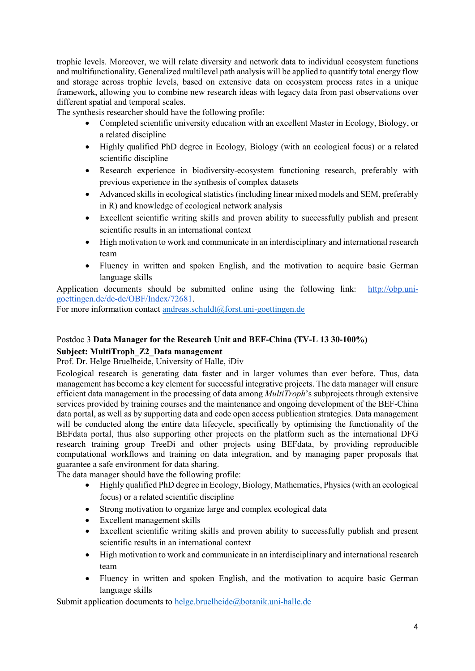trophic levels. Moreover, we will relate diversity and network data to individual ecosystem functions and multifunctionality. Generalized multilevel path analysis will be applied to quantify total energy flow and storage across trophic levels, based on extensive data on ecosystem process rates in a unique framework, allowing you to combine new research ideas with legacy data from past observations over different spatial and temporal scales.

The synthesis researcher should have the following profile:

- Completed scientific university education with an excellent Master in Ecology, Biology, or a related discipline
- Highly qualified PhD degree in Ecology, Biology (with an ecological focus) or a related scientific discipline
- Research experience in biodiversity-ecosystem functioning research, preferably with previous experience in the synthesis of complex datasets
- Advanced skills in ecological statistics (including linear mixed models and SEM, preferably in R) and knowledge of ecological network analysis
- Excellent scientific writing skills and proven ability to successfully publish and present scientific results in an international context
- High motivation to work and communicate in an interdisciplinary and international research team
- Fluency in written and spoken English, and the motivation to acquire basic German language skills

Application documents should be submitted online using the following link: [http://obp.uni](http://obp.uni-goettingen.de/de-de/OBF/Index/72681)[goettingen.de/de-de/OBF/Index/72681.](http://obp.uni-goettingen.de/de-de/OBF/Index/72681)

For more information contact [andreas.schuldt@forst.uni-goettingen.de](mailto:andreas.schuldt@forst.uni-goettingen.de)

### Postdoc 3 **Data Manager for the Research Unit and BEF-China (TV-L 13 30-100%)**

### **Subject: MultiTroph\_Z2\_Data management**

Prof. Dr. Helge Bruelheide, University of Halle, iDiv

Ecological research is generating data faster and in larger volumes than ever before. Thus, data management has become a key element for successful integrative projects. The data manager will ensure efficient data management in the processing of data among *MultiTroph*'s subprojects through extensive services provided by training courses and the maintenance and ongoing development of the BEF-China data portal, as well as by supporting data and code open access publication strategies. Data management will be conducted along the entire data lifecycle, specifically by optimising the functionality of the BEFdata portal, thus also supporting other projects on the platform such as the international DFG research training group TreeDì and other projects using BEFdata, by providing reproducible computational workflows and training on data integration, and by managing paper proposals that guarantee a safe environment for data sharing.

The data manager should have the following profile:

- Highly qualified PhD degree in Ecology, Biology, Mathematics, Physics(with an ecological focus) or a related scientific discipline
- Strong motivation to organize large and complex ecological data
- Excellent management skills
- Excellent scientific writing skills and proven ability to successfully publish and present scientific results in an international context
- High motivation to work and communicate in an interdisciplinary and international research team
- Fluency in written and spoken English, and the motivation to acquire basic German language skills

Submit application documents to [helge.bruelheide@botanik.uni-halle.de](mailto:helge.bruelheide@botanik.uni-halle.de)